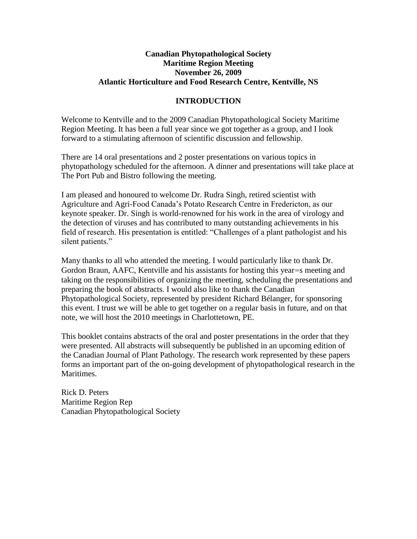### **Canadian Phytopathological Society Maritime Region Meeting November 26, 2009 Atlantic Horticulture and Food Research Centre, Kentville, NS**

#### **INTRODUCTION**

Welcome to Kentville and to the 2009 Canadian Phytopathological Society Maritime Region Meeting. It has been a full year since we got together as a group, and I look forward to a stimulating afternoon of scientific discussion and fellowship.

There are 14 oral presentations and 2 poster presentations on various topics in phytopathology scheduled for the afternoon. A dinner and presentations will take place at The Port Pub and Bistro following the meeting.

I am pleased and honoured to welcome Dr. Rudra Singh, retired scientist with Agriculture and Agri-Food Canada's Potato Research Centre in Fredericton, as our keynote speaker. Dr. Singh is world-renowned for his work in the area of virology and the detection of viruses and has contributed to many outstanding achievements in his field of research. His presentation is entitled: "Challenges of a plant pathologist and his silent patients."

Many thanks to all who attended the meeting. I would particularly like to thank Dr. Gordon Braun, AAFC, Kentville and his assistants for hosting this year=s meeting and taking on the responsibilities of organizing the meeting, scheduling the presentations and preparing the book of abstracts. I would also like to thank the Canadian Phytopathological Society, represented by president Richard Bélanger, for sponsoring this event. I trust we will be able to get together on a regular basis in future, and on that note, we will host the 2010 meetings in Charlottetown, PE.

This booklet contains abstracts of the oral and poster presentations in the order that they were presented. All abstracts will subsequently be published in an upcoming edition of the Canadian Journal of Plant Pathology. The research work represented by these papers forms an important part of the on-going development of phytopathological research in the Maritimes.

Rick D. Peters Maritime Region Rep Canadian Phytopathological Society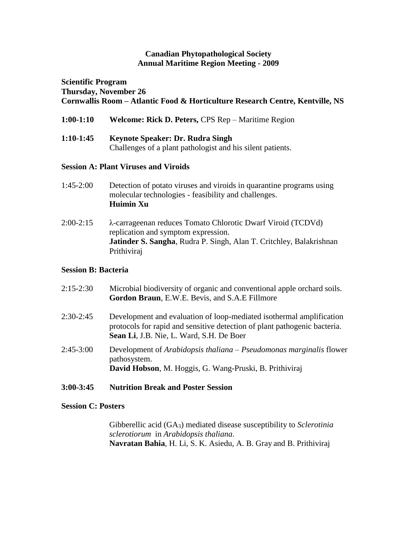#### **Canadian Phytopathological Society Annual Maritime Region Meeting - 2009**

# **Scientific Program Thursday, November 26 Cornwallis Room – Atlantic Food & Horticulture Research Centre, Kentville, NS**

| $1:00-1:10$ | <b>Welcome: Rick D. Peters, CPS Rep – Maritime Region</b> |  |  |  |
|-------------|-----------------------------------------------------------|--|--|--|
|             |                                                           |  |  |  |

| $1:10-1:45$ | <b>Keynote Speaker: Dr. Rudra Singh</b>                    |  |  |  |  |
|-------------|------------------------------------------------------------|--|--|--|--|
|             | Challenges of a plant pathologist and his silent patients. |  |  |  |  |

## **Session A: Plant Viruses and Viroids**

- 1:45-2:00 Detection of potato viruses and viroids in quarantine programs using molecular technologies - feasibility and challenges. **Huimin Xu**
- 2:00-2:15 λ-carrageenan reduces Tomato Chlorotic Dwarf Viroid (TCDVd) replication and symptom expression. **Jatinder S. Sangha**, Rudra P. Singh, Alan T. Critchley, Balakrishnan Prithiviraj

## **Session B: Bacteria**

| $2:15-2:30$ | Microbial biodiversity of organic and conventional apple orchard soils.<br>Gordon Braun, E.W.E. Bevis, and S.A.E Fillmore                                                                     |
|-------------|-----------------------------------------------------------------------------------------------------------------------------------------------------------------------------------------------|
| $2:30-2:45$ | Development and evaluation of loop-mediated isothermal amplification<br>protocols for rapid and sensitive detection of plant pathogenic bacteria.<br>Sean Li, J.B. Nie, L. Ward, S.H. De Boer |
| $2:45-3:00$ | Development of Arabidopsis thaliana – Pseudomonas marginalis flower<br>pathosystem.<br>David Hobson, M. Hoggis, G. Wang-Pruski, B. Prithiviraj                                                |

# **3:00-3:45 Nutrition Break and Poster Session**

## **Session C: Posters**

Gibberellic acid (GA3) mediated disease susceptibility to *Sclerotinia sclerotiorum* in *Arabidopsis thaliana*. **Navratan Bahia**, H. Li, S. K. Asiedu, A. B. Gray and B. Prithiviraj